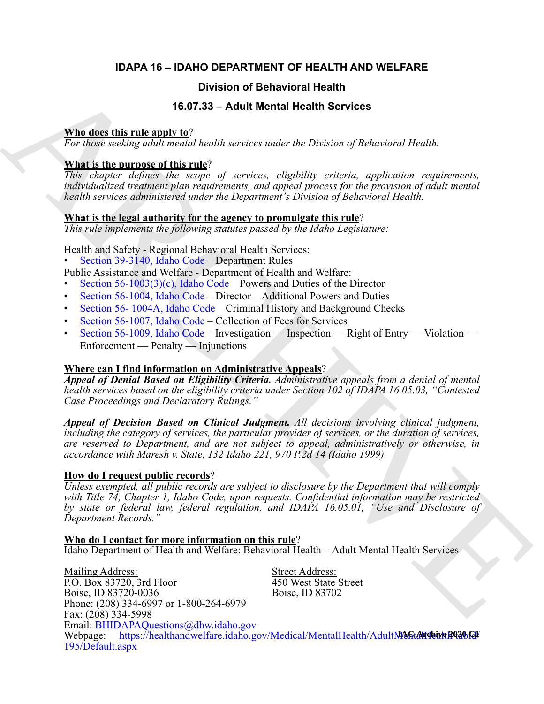#### **IDAPA 16 – IDAHO DEPARTMENT OF HEALTH AND WELFARE**

#### **Division of Behavioral Health**

#### **16.07.33 – Adult Mental Health Services**

#### **Who does this rule apply to**?

*For those seeking adult mental health services under the Division of Behavioral Health.*

#### **What is the purpose of this rule**?

*This chapter defines the scope of services, eligibility criteria, application requirements, individualized treatment plan requirements, and appeal process for the provision of adult mental health services administered under the Department's Division of Behavioral Health.*

#### **What is the legal authority for the agency to promulgate this rule**?

*This rule implements the following statutes passed by the Idaho Legislature:*

Health and Safety - Regional Behavioral Health Services:

• Section 39-3140, Idaho Code – Department Rules

Public Assistance and Welfare - Department of Health and Welfare:

- Section  $56-1003(3)(c)$ , Idaho Code Powers and Duties of the Director
- Section 56-1004, Idaho Code Director Additional Powers and Duties
- Section 56- 1004A, Idaho Code Criminal History and Background Checks
- Section 56-1007, Idaho Code Collection of Fees for Services
- Section 56-1009, Idaho Code Investigation Inspection Right of Entry Violation Enforcement — Penalty — Injunctions

#### **Where can I find information on Administrative Appeals**?

*Appeal of Denial Based on Eligibility Criteria. Administrative appeals from a denial of mental health services based on the eligibility criteria under Section 102 of IDAPA 16.05.03, "Contested Case Proceedings and Declaratory Rulings."*

*Appeal of Decision Based on Clinical Judgment. All decisions involving clinical judgment, including the category of services, the particular provider of services, or the duration of services, are reserved to Department, and are not subject to appeal, administratively or otherwise, in accordance with Maresh v. State, 132 Idaho 221, 970 P.2d 14 (Idaho 1999).*

#### **How do I request public records**?

*Unless exempted, all public records are subject to disclosure by the Department that will comply with Title 74, Chapter 1, Idaho Code, upon requests. Confidential information may be restricted by state or federal law, federal regulation, and IDAPA 16.05.01, "Use and Disclosure of Department Records."*

**Who do I contact for more information on this rule**?

Idaho Department of Health and Welfare: Behavioral Health – Adult Mental Health Services

**1667-31**<br> **1667-33 Characterize and West Addle Market Health Services<br>
Nike describes the relation of the Services under the Diversion of Reheaviors Health.<br>
This characterize the market and the relation of the Service** Mailing Address: Street Address: P.O. Box 83720, 3rd Floor 450 West State Street Boise, ID 83720-0036 Boise, ID 83702 Phone: (208) 334-6997 or 1-800-264-6979 Fax: (208) 334-5998 Email: [BHIDAPAQuestions@dhw.idaho.gov](mailto:BHIDAPAQuestions@dhw.idaho.gov) Webpage: https://healthandwelfare.idaho.gov/Medical/MentalHealth/AdultMentalHealth/ [195/Default.aspx](https://healthandwelfare.idaho.gov/Medical/MentalHealth/AdultMentalHealth/tabid/195/Default.aspx)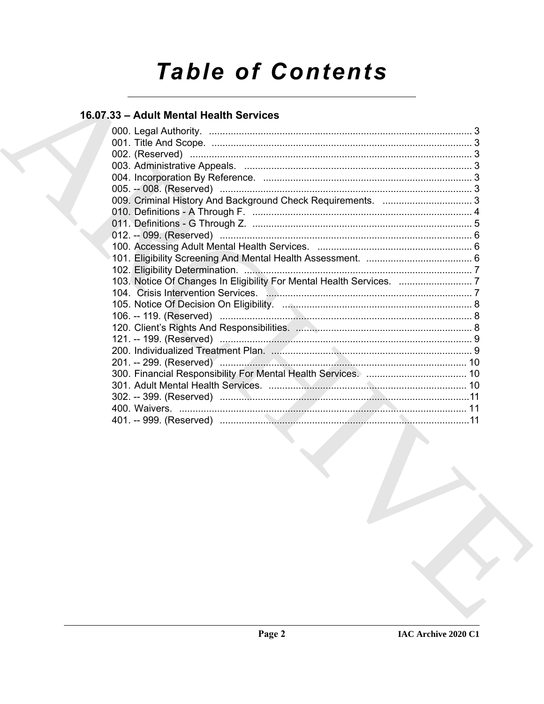# **Table of Contents**

### 16.07.33 - Adult Mental Health Services

| 103. Notice Of Changes In Eligibility For Mental Health Services.  7 |  |
|----------------------------------------------------------------------|--|
|                                                                      |  |
|                                                                      |  |
|                                                                      |  |
|                                                                      |  |
|                                                                      |  |
|                                                                      |  |
|                                                                      |  |
|                                                                      |  |
|                                                                      |  |
|                                                                      |  |
|                                                                      |  |
|                                                                      |  |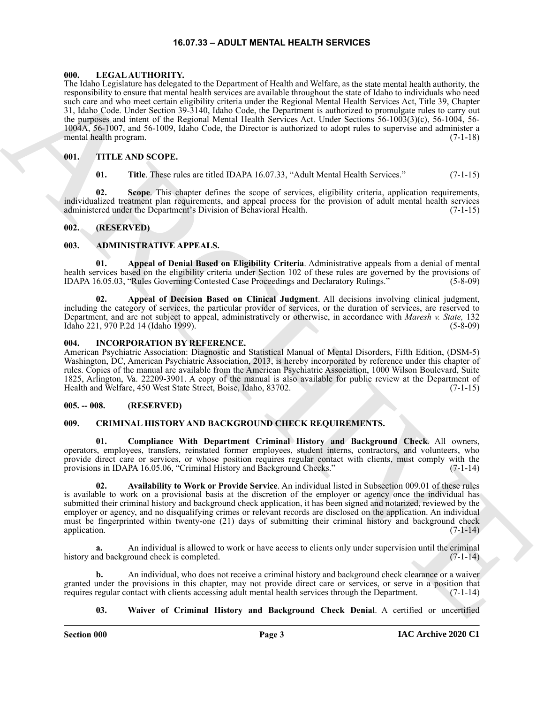#### **16.07.33 – ADULT MENTAL HEALTH SERVICES**

#### <span id="page-2-16"></span><span id="page-2-1"></span><span id="page-2-0"></span>**000. LEGAL AUTHORITY.**

The big shows the state of the Dramoton of Holomore Commute and the state of the state of the state of the state of the state of the state of the state of the state of the state of the state of the state of the state of t The Idaho Legislature has delegated to the Department of Health and Welfare, as the state mental health authority, the responsibility to ensure that mental health services are available throughout the state of Idaho to individuals who need such care and who meet certain eligibility criteria under the Regional Mental Health Services Act, Title 39, Chapter 31, Idaho Code. Under Section 39-3140, Idaho Code, the Department is authorized to promulgate rules to carry out the purposes and intent of the Regional Mental Health Services Act. Under Sections 56-1003(3)(c), 56-1004, 56- 1004A, 56-1007, and 56-1009, Idaho Code, the Director is authorized to adopt rules to supervise and administer a mental health program. (7-1-18)

#### <span id="page-2-2"></span>**001. TITLE AND SCOPE.**

<span id="page-2-19"></span><span id="page-2-18"></span><span id="page-2-17"></span>**01.** Title. These rules are titled IDAPA 16.07.33, "Adult Mental Health Services." (7-1-15)

**02. Scope**. This chapter defines the scope of services, eligibility criteria, application requirements, individualized treatment plan requirements, and appeal process for the provision of adult mental health services administered under the Department's Division of Behavioral Health. (7-1-15)

#### <span id="page-2-3"></span>**002. (RESERVED)**

#### <span id="page-2-8"></span><span id="page-2-4"></span>**003. ADMINISTRATIVE APPEALS.**

<span id="page-2-10"></span>**01. Appeal of Denial Based on Eligibility Criteria**. Administrative appeals from a denial of mental health services based on the eligibility criteria under Section 102 of these rules are governed by the provisions of IDAPA 16.05.03, "Rules Governing Contested Case Proceedings and Declaratory Rulings." (5-8-09)

<span id="page-2-9"></span>**02. Appeal of Decision Based on Clinical Judgment**. All decisions involving clinical judgment, including the category of services, the particular provider of services, or the duration of services, are reserved to Department, and are not subject to appeal, administratively or otherwise, in accordance with *Maresh v. State,* 132 Idaho 221, 970 P.2d 14 (Idaho 1999).

#### <span id="page-2-15"></span><span id="page-2-5"></span>**004. INCORPORATION BY REFERENCE.**

American Psychiatric Association: Diagnostic and Statistical Manual of Mental Disorders, Fifth Edition, (DSM-5) Washington, DC, American Psychiatric Association, 2013, is hereby incorporated by reference under this chapter of rules. Copies of the manual are available from the American Psychiatric Association, 1000 Wilson Boulevard, Suite 1825, Arlington, Va. 22209-3901. A copy of the manual is also available for public review at the Department of Health and Welfare, 450 West State Street, Boise, Idaho, 83702. (7-1-15)

#### <span id="page-2-6"></span>**005. -- 008. (RESERVED)**

#### <span id="page-2-11"></span><span id="page-2-7"></span>**009. CRIMINAL HISTORY AND BACKGROUND CHECK REQUIREMENTS.**

<span id="page-2-13"></span>**01. Compliance With Department Criminal History and Background Check**. All owners, operators, employees, transfers, reinstated former employees, student interns, contractors, and volunteers, who provide direct care or services, or whose position requires regular contact with clients, must comply with the provisions in IDAPA 16.05.06, "Criminal History and Background Checks." (7-1-14) provisions in IDAPA 16.05.06, "Criminal History and Background Checks."

<span id="page-2-12"></span>**02. Availability to Work or Provide Service**. An individual listed in Subsection 009.01 of these rules is available to work on a provisional basis at the discretion of the employer or agency once the individual has submitted their criminal history and background check application, it has been signed and notarized, reviewed by the employer or agency, and no disqualifying crimes or relevant records are disclosed on the application. An individual must be fingerprinted within twenty-one (21) days of submitting their criminal history and background check application.  $(7-1-14)$ 

**a.** An individual is allowed to work or have access to clients only under supervision until the criminal history and background check is completed. (7-1-14) (7-1-14)

**b.** An individual, who does not receive a criminal history and background check clearance or a waiver granted under the provisions in this chapter, may not provide direct care or services, or serve in a position that requires regular contact with clients accessing adult mental health services through the Department. (7-1-14)

<span id="page-2-14"></span>**03. Waiver of Criminal History and Background Check Denial**. A certified or uncertified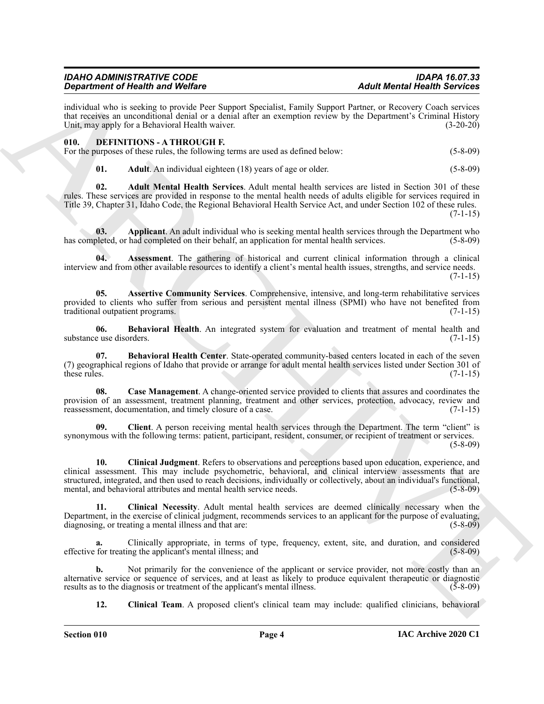#### *IDAHO ADMINISTRATIVE CODE IDAPA 16.07.33 Department of Health and Welfare*

individual who is seeking to provide Peer Support Specialist, Family Support Partner, or Recovery Coach services that receives an unconditional denial or a denial after an exemption review by the Department's Criminal History Unit, may apply for a Behavioral Health waiver. (3-20-20)

#### <span id="page-3-1"></span><span id="page-3-0"></span>**010. DEFINITIONS - A THROUGH F.**

|  |  |  |  | For the purposes of these rules, the following terms are used as defined below: | $(5-8-09)$ |
|--|--|--|--|---------------------------------------------------------------------------------|------------|
|--|--|--|--|---------------------------------------------------------------------------------|------------|

<span id="page-3-3"></span><span id="page-3-2"></span>**01.** Adult. An individual eighteen (18) years of age or older. (5-8-09)

**02. Adult Mental Health Services**. Adult mental health services are listed in Section 301 of these rules. These services are provided in response to the mental health needs of adults eligible for services required in Title 39, Chapter 31, Idaho Code, the Regional Behavioral Health Service Act, and under Section 102 of these rules.

 $(7-1-15)$ 

<span id="page-3-4"></span>**03. Applicant**. An adult individual who is seeking mental health services through the Department who has completed, or had completed on their behalf, an application for mental health services. (5-8-09)

<span id="page-3-6"></span>**04. Assessment**. The gathering of historical and current clinical information through a clinical interview and from other available resources to identify a client's mental health issues, strengths, and service needs.  $(7-1-15)$ 

<span id="page-3-5"></span>**05. Assertive Community Services**. Comprehensive, intensive, and long-term rehabilitative services provided to clients who suffer from serious and persistent mental illness (SPMI) who have not benefited from traditional outpatient programs. (7-1-15)

<span id="page-3-7"></span>**06. Behavioral Health**. An integrated system for evaluation and treatment of mental health and substance use disorders. (7-1-15)

<span id="page-3-8"></span>**07. Behavioral Health Center**. State-operated community-based centers located in each of the seven (7) geographical regions of Idaho that provide or arrange for adult mental health services listed under Section 301 of these rules. (7-1-15)

<span id="page-3-9"></span>**08. Case Management**. A change-oriented service provided to clients that assures and coordinates the provision of an assessment, treatment planning, treatment and other services, protection, advocacy, review and reassessment, documentation, and timely closure of a case. (7-1-15) reassessment, documentation, and timely closure of a case.

<span id="page-3-11"></span><span id="page-3-10"></span>**09. Client**. A person receiving mental health services through the Department. The term "client" is synonymous with the following terms: patient, participant, resident, consumer, or recipient of treatment or services. (5-8-09)

**Experimental Neutrino of Neutrino Works Compare System (Associates and Math Measure Research Construction Compare System (2003)<br>
ARCHIVES ARCHIVES AND CONSTRUCT CONSTRUCT CONSTRUCT (2003) (2003) (2003) (2003) (2003) (200 10. Clinical Judgment**. Refers to observations and perceptions based upon education, experience, and clinical assessment. This may include psychometric, behavioral, and clinical interview assessments that are structured, integrated, and then used to reach decisions, individually or collectively, about an individual's functional, mental, and behavioral attributes and mental health service needs. (5-8-09)

<span id="page-3-12"></span>**11. Clinical Necessity**. Adult mental health services are deemed clinically necessary when the Department, in the exercise of clinical judgment, recommends services to an applicant for the purpose of evaluating, diagnosing, or treating a mental illness and that are: (5-8-09)

**a.** Clinically appropriate, in terms of type, frequency, extent, site, and duration, and considered effective for treating the applicant's mental illness; and (5-8-09)

**b.** Not primarily for the convenience of the applicant or service provider, not more costly than an alternative service or sequence of services, and at least as likely to produce equivalent therapeutic or diagnostic results as to the diagnosis or treatment of the applicant's mental illness. (5-8-09) results as to the diagnosis or treatment of the applicant's mental illness.

<span id="page-3-13"></span>**12. Clinical Team**. A proposed client's clinical team may include: qualified clinicians, behavioral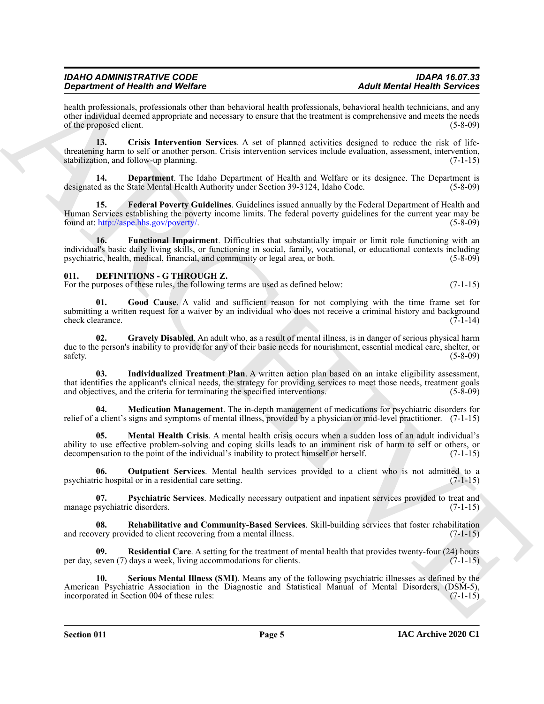#### *IDAHO ADMINISTRATIVE CODE IDAPA 16.07.33 Department of Health and Welfare*

health professionals, professionals other than behavioral health professionals, behavioral health technicians, and any other individual deemed appropriate and necessary to ensure that the treatment is comprehensive and meets the needs of the proposed client. (5-8-09)

<span id="page-4-1"></span>**13. Crisis Intervention Services**. A set of planned activities designed to reduce the risk of lifethreatening harm to self or another person. Crisis intervention services include evaluation, assessment, intervention, stabilization, and follow-up planning. (7-1-15) stabilization, and follow-up planning.

<span id="page-4-2"></span>**14. Department**. The Idaho Department of Health and Welfare or its designee. The Department is designated as the State Mental Health Authority under Section 39-3124, Idaho Code. (5-8-09)

<span id="page-4-3"></span>**15. Federal Poverty Guidelines**. Guidelines issued annually by the Federal Department of Health and Human Services establishing the poverty income limits. The federal poverty guidelines for the current year may be found at: http://aspe.hhs.gov/poverty/. (5-8-09)

<span id="page-4-4"></span>**16. Functional Impairment**. Difficulties that substantially impair or limit role functioning with an individual's basic daily living skills, or functioning in social, family, vocational, or educational contexts including psychiatric, health, medical, financial, and community or legal area, or both. (5-8-09)

#### <span id="page-4-5"></span><span id="page-4-0"></span>**011. DEFINITIONS - G THROUGH Z.**

For the purposes of these rules, the following terms are used as defined below: (7-1-15)

<span id="page-4-6"></span>Good Cause. A valid and sufficient reason for not complying with the time frame set for submitting a written request for a waiver by an individual who does not receive a criminal history and background check clearance. (7-1-14)

<span id="page-4-7"></span>**02. Gravely Disabled**. An adult who, as a result of mental illness, is in danger of serious physical harm due to the person's inability to provide for any of their basic needs for nourishment, essential medical care, shelter, or safety. (5-8-09)

<span id="page-4-8"></span>**03. Individualized Treatment Plan**. A written action plan based on an intake eligibility assessment, that identifies the applicant's clinical needs, the strategy for providing services to meet those needs, treatment goals and objectives, and the criteria for terminating the specified interventions. (5-8-09)

<span id="page-4-10"></span><span id="page-4-9"></span>**04. Medication Management**. The in-depth management of medications for psychiatric disorders for relief of a client's signs and symptoms of mental illness, provided by a physician or mid-level practitioner. (7-1-15)

**Experiment of Heisellin and Welfare**<br>
Analythe control and Welfare March 2000 and the state and the projection of the Methods Heisellin School and New York 1980 and the state of the state of the state of the state of the **05. Mental Health Crisis**. A mental health crisis occurs when a sudden loss of an adult individual's ability to use effective problem-solving and coping skills leads to an imminent risk of harm to self or others, or decompensation to the point of the individual's inability to protect himself or herself. (7-1-15)

<span id="page-4-11"></span>**06. Outpatient Services**. Mental health services provided to a client who is not admitted to a psychiatric hospital or in a residential care setting. (7-1-15)

<span id="page-4-12"></span>**07. Psychiatric Services**. Medically necessary outpatient and inpatient services provided to treat and manage psychiatric disorders.

<span id="page-4-13"></span>**08. Rehabilitative and Community-Based Services**. Skill-building services that foster rehabilitation and recovery provided to client recovering from a mental illness. (7-1-15)

<span id="page-4-14"></span>**09. Residential Care**. A setting for the treatment of mental health that provides twenty-four (24) hours per day, seven (7) days a week, living accommodations for clients. (7-1-15)

<span id="page-4-15"></span>**10. Serious Mental Illness (SMI)**. Means any of the following psychiatric illnesses as defined by the American Psychiatric Association in the Diagnostic and Statistical Manual of Mental Disorders, (DSM-5), incorporated in Section 004 of these rules: (7-1-15)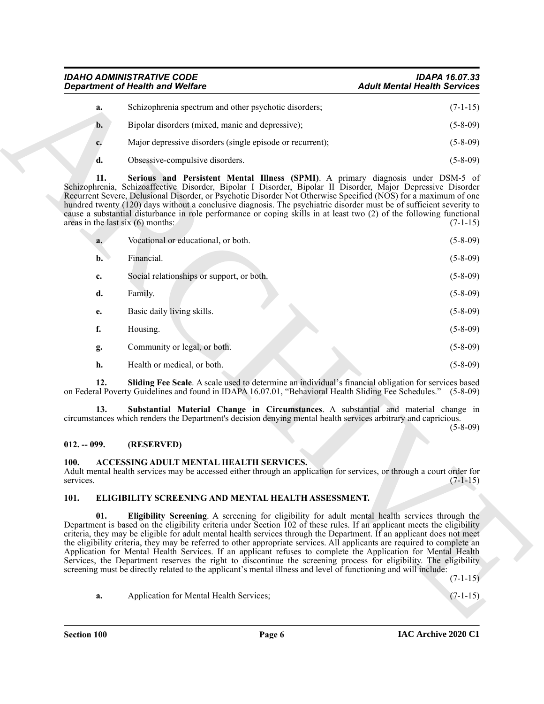*IDAHO ADMINISTRATIVE CODE IDAPA 16.07.33 Department of Health and Welfare* 

<span id="page-5-4"></span>

| a. | Schizophrenia spectrum and other psychotic disorders;     | $(7-1-15)$ |
|----|-----------------------------------------------------------|------------|
| b. | Bipolar disorders (mixed, manic and depressive);          | $(5-8-09)$ |
|    | Major depressive disorders (single episode or recurrent); | $(5-8-09)$ |
|    | Obsessive-compulsive disorders.                           | $(5-8-09)$ |

| a.                                         | Schizophrenia spectrum and other psychotic disorders;                                                                                                                                                                                                                                                                                                                                                                                                                                                                                                                                                                                                                                                                                                                                                                                    |            |
|--------------------------------------------|------------------------------------------------------------------------------------------------------------------------------------------------------------------------------------------------------------------------------------------------------------------------------------------------------------------------------------------------------------------------------------------------------------------------------------------------------------------------------------------------------------------------------------------------------------------------------------------------------------------------------------------------------------------------------------------------------------------------------------------------------------------------------------------------------------------------------------------|------------|
|                                            |                                                                                                                                                                                                                                                                                                                                                                                                                                                                                                                                                                                                                                                                                                                                                                                                                                          | $(7-1-15)$ |
| $\mathbf{b}$ .                             | Bipolar disorders (mixed, manic and depressive);                                                                                                                                                                                                                                                                                                                                                                                                                                                                                                                                                                                                                                                                                                                                                                                         | $(5-8-09)$ |
| c.                                         | Major depressive disorders (single episode or recurrent);                                                                                                                                                                                                                                                                                                                                                                                                                                                                                                                                                                                                                                                                                                                                                                                | $(5-8-09)$ |
| d.                                         | Obsessive-compulsive disorders.                                                                                                                                                                                                                                                                                                                                                                                                                                                                                                                                                                                                                                                                                                                                                                                                          | $(5-8-09)$ |
| 11.<br>areas in the last six $(6)$ months: | Serious and Persistent Mental Illness (SPMI). A primary diagnosis under DSM-5 of<br>Schizophrenia, Schizoaffective Disorder, Bipolar I Disorder, Bipolar II Disorder, Major Depressive Disorder<br>Recurrent Severe, Delusional Disorder, or Psychotic Disorder Not Otherwise Specified (NOS) for a maximum of one<br>hundred twenty (120) days without a conclusive diagnosis. The psychiatric disorder must be of sufficient severity to<br>cause a substantial disturbance in role performance or coping skills in at least two (2) of the following functional                                                                                                                                                                                                                                                                       | $(7-1-15)$ |
| a.                                         | Vocational or educational, or both.                                                                                                                                                                                                                                                                                                                                                                                                                                                                                                                                                                                                                                                                                                                                                                                                      | $(5-8-09)$ |
| $\mathbf{b}$ .                             | Financial.                                                                                                                                                                                                                                                                                                                                                                                                                                                                                                                                                                                                                                                                                                                                                                                                                               | $(5-8-09)$ |
| c.                                         | Social relationships or support, or both.                                                                                                                                                                                                                                                                                                                                                                                                                                                                                                                                                                                                                                                                                                                                                                                                | $(5-8-09)$ |
| d.                                         | Family.                                                                                                                                                                                                                                                                                                                                                                                                                                                                                                                                                                                                                                                                                                                                                                                                                                  | $(5-8-09)$ |
| е.                                         | Basic daily living skills.                                                                                                                                                                                                                                                                                                                                                                                                                                                                                                                                                                                                                                                                                                                                                                                                               | $(5-8-09)$ |
| f.                                         | Housing.                                                                                                                                                                                                                                                                                                                                                                                                                                                                                                                                                                                                                                                                                                                                                                                                                                 | $(5-8-09)$ |
| g.                                         | Community or legal, or both.                                                                                                                                                                                                                                                                                                                                                                                                                                                                                                                                                                                                                                                                                                                                                                                                             | $(5-8-09)$ |
| h.                                         | Health or medical, or both.                                                                                                                                                                                                                                                                                                                                                                                                                                                                                                                                                                                                                                                                                                                                                                                                              | $(5-8-09)$ |
| 12.                                        | Sliding Fee Scale. A scale used to determine an individual's financial obligation for services based<br>on Federal Poverty Guidelines and found in IDAPA 16.07.01, "Behavioral Health Sliding Fee Schedules." (5-8-09)                                                                                                                                                                                                                                                                                                                                                                                                                                                                                                                                                                                                                   |            |
| 13.                                        | Substantial Material Change in Circumstances. A substantial and material change in<br>circumstances which renders the Department's decision denying mental health services arbitrary and capricious.                                                                                                                                                                                                                                                                                                                                                                                                                                                                                                                                                                                                                                     | $(5-8-09)$ |
| $012. - 099.$                              | (RESERVED)                                                                                                                                                                                                                                                                                                                                                                                                                                                                                                                                                                                                                                                                                                                                                                                                                               |            |
| <b>100.</b><br>services.                   | ACCESSING ADULT MENTAL HEALTH SERVICES.<br>Adult mental health services may be accessed either through an application for services, or through a court order for                                                                                                                                                                                                                                                                                                                                                                                                                                                                                                                                                                                                                                                                         | $(7-1-15)$ |
| 101.                                       | ELIGIBILITY SCREENING AND MENTAL HEALTH ASSESSMENT.                                                                                                                                                                                                                                                                                                                                                                                                                                                                                                                                                                                                                                                                                                                                                                                      |            |
| 01.                                        | Eligibility Screening. A screening for eligibility for adult mental health services through the<br>Department is based on the eligibility criteria under Section 102 of these rules. If an applicant meets the eligibility<br>criteria, they may be eligible for adult mental health services through the Department. If an applicant does not meet<br>the eligibility criteria, they may be referred to other appropriate services. All applicants are required to complete an<br>Application for Mental Health Services. If an applicant refuses to complete the Application for Mental Health<br>Services, the Department reserves the right to discontinue the screening process for eligibility. The eligibility<br>screening must be directly related to the applicant's mental illness and level of functioning and will include: |            |
|                                            |                                                                                                                                                                                                                                                                                                                                                                                                                                                                                                                                                                                                                                                                                                                                                                                                                                          | $(7-1-15)$ |

#### <span id="page-5-6"></span><span id="page-5-5"></span><span id="page-5-0"></span>**012. -- 099. (RESERVED)**

#### <span id="page-5-3"></span><span id="page-5-1"></span>**100. ACCESSING ADULT MENTAL HEALTH SERVICES.**

#### <span id="page-5-8"></span><span id="page-5-7"></span><span id="page-5-2"></span>**101. ELIGIBILITY SCREENING AND MENTAL HEALTH ASSESSMENT.**

| а. | Application for Mental Health Services: |  |  |  |  |  |  |
|----|-----------------------------------------|--|--|--|--|--|--|
|----|-----------------------------------------|--|--|--|--|--|--|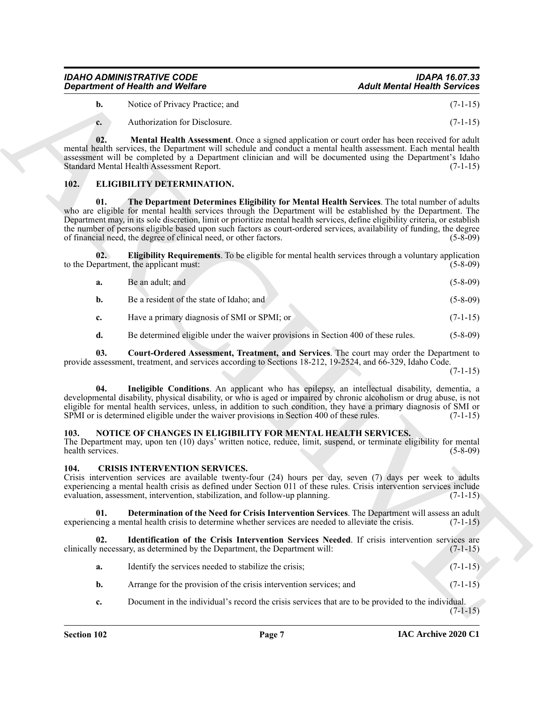| IDAHO ADMINISTRATIVE CODE               | <b>IDAPA 16.07.33</b>               |
|-----------------------------------------|-------------------------------------|
| <b>Department of Health and Welfare</b> | <b>Adult Mental Health Services</b> |

**b.** Notice of Privacy Practice; and (7-1-15)

<span id="page-6-11"></span>**c.** Authorization for Disclosure. (7-1-15)

**02. Mental Health Assessment**. Once a signed application or court order has been received for adult mental health services, the Department will schedule and conduct a mental health assessment. Each mental health assessment will be completed by a Department clinician and will be documented using the Department's Idaho Standard Mental Health Assessment Report. (7-1-15)

#### <span id="page-6-10"></span><span id="page-6-6"></span><span id="page-6-0"></span>**102. ELIGIBILITY DETERMINATION.**

*Constraint General Works* Chernical Residue Constraint Chernical Residue Constraint Chernical Residue Chernical Residue Chernical Residue Chernical Residue Chernical Residue Chernical Residue Chernical Residue Chernica **01. The Department Determines Eligibility for Mental Health Services**. The total number of adults who are eligible for mental health services through the Department will be established by the Department. The Department may, in its sole discretion, limit or prioritize mental health services, define eligibility criteria, or establish the number of persons eligible based upon such factors as court-ordered services, availability of funding, the degree of financial need, the degree of clinical need, or other factors. (5-8-09)

**02. Eligibility Requirements**. To be eligible for mental health services through a voluntary application to the Department, the applicant must:  $(5-8-09)$ 

- <span id="page-6-8"></span>**a.** Be an adult; and (5-8-09) **b.** Be a resident of the state of Idaho; and (5-8-09)
- **c.** Have a primary diagnosis of SMI or SPMI; or (7-1-15)
- <span id="page-6-9"></span><span id="page-6-7"></span>**d.** Be determined eligible under the waiver provisions in Section 400 of these rules. (5-8-09)

**03. Court-Ordered Assessment, Treatment, and Services**. The court may order the Department to provide assessment, treatment, and services according to Sections 18-212, 19-2524, and 66-329, Idaho Code.

(7-1-15)

**04. Ineligible Conditions**. An applicant who has epilepsy, an intellectual disability, dementia, a developmental disability, physical disability, or who is aged or impaired by chronic alcoholism or drug abuse, is not eligible for mental health services, unless, in addition to such condition, they have a primary diagnosis of SMI or SPMI or is determined eligible under the waiver provisions in Section 400 of these rules. (7-1-15)

#### <span id="page-6-12"></span><span id="page-6-1"></span>**103. NOTICE OF CHANGES IN ELIGIBILITY FOR MENTAL HEALTH SERVICES.**

The Department may, upon ten (10) days' written notice, reduce, limit, suspend, or terminate eligibility for mental health services. (5-8-09)

#### <span id="page-6-3"></span><span id="page-6-2"></span>**104. CRISIS INTERVENTION SERVICES.**

Crisis intervention services are available twenty-four (24) hours per day, seven (7) days per week to adults experiencing a mental health crisis as defined under Section 011 of these rules. Crisis intervention services include evaluation, assessment, intervention, stabilization, and follow-up planning. (7-1-15)

<span id="page-6-4"></span>**01. Determination of the Need for Crisis Intervention Services**. The Department will assess an adult crisis to determine whether services are needed to alleviate the crisis. (7-1-15) experiencing a mental health crisis to determine whether services are needed to alleviate the crisis.

**02. Identification of the Crisis Intervention Services Needed**. If crisis intervention services are clinically necessary, as determined by the Department, the Department will: (7-1-15)

<span id="page-6-5"></span>

| Identify the services needed to stabilize the crisis:              |  | $(7-1-15)$ |
|--------------------------------------------------------------------|--|------------|
| Arrange for the provision of the crisis intervention services; and |  | $(7-1-15)$ |

**c.** Document in the individual's record the crisis services that are to be provided to the individual.  $(7-1-15)$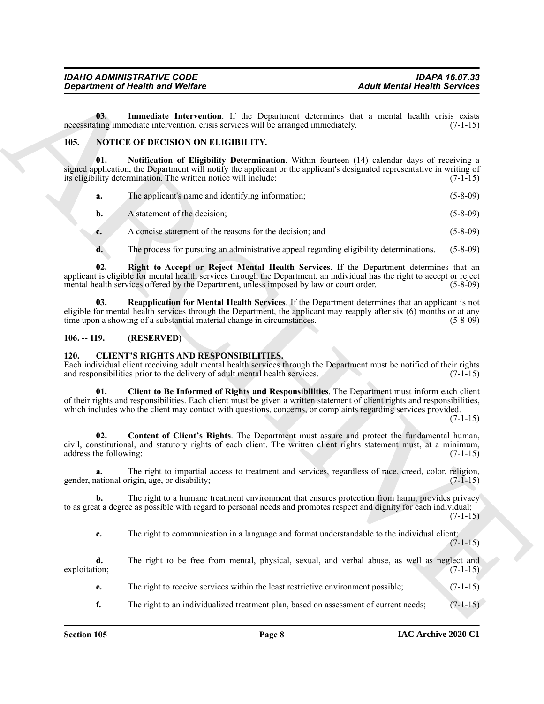<span id="page-7-6"></span>**03. Immediate Intervention**. If the Department determines that a mental health crisis exists necessitating immediate intervention, crisis services will be arranged immediately. (7-1-15)

#### <span id="page-7-7"></span><span id="page-7-0"></span>**105. NOTICE OF DECISION ON ELIGIBILITY.**

*Considerable in the United States Complete States Complete States Complete States Complete States Complete States Complete States Complete States Complete States Complete States Complete States Complete States Complete* **01. Notification of Eligibility Determination**. Within fourteen (14) calendar days of receiving a signed application, the Department will notify the applicant or the applicant's designated representative in writing of its eligibility determination. The written notice will include: (7-1-15)

<span id="page-7-8"></span>

|  | The applicant's name and identifying information; | $(5 - 8 - 09)$ |
|--|---------------------------------------------------|----------------|
|--|---------------------------------------------------|----------------|

|  | b. | A statement of the decision: | $(5 - 8 - 09)$ |  |
|--|----|------------------------------|----------------|--|
|--|----|------------------------------|----------------|--|

- **c.** A concise statement of the reasons for the decision; and (5-8-09)
- <span id="page-7-10"></span><span id="page-7-9"></span>**d.** The process for pursuing an administrative appeal regarding eligibility determinations. (5-8-09)

**02. Right to Accept or Reject Mental Health Services**. If the Department determines that an applicant is eligible for mental health services through the Department, an individual has the right to accept or reject mental health services offered by the Department, unless imposed by law or court order. (5-8-09)

**03. Reapplication for Mental Health Services**. If the Department determines that an applicant is not eligible for mental health services through the Department, the applicant may reapply after six (6) months or at any time upon a showing of a substantial material change in circumstances. (5-8-09)

#### <span id="page-7-1"></span>**106. -- 119. (RESERVED)**

#### <span id="page-7-3"></span><span id="page-7-2"></span>**120. CLIENT'S RIGHTS AND RESPONSIBILITIES.**

Each individual client receiving adult mental health services through the Department must be notified of their rights and responsibilities prior to the delivery of adult mental health services. (7-1-15) and responsibilities prior to the delivery of adult mental health services.

<span id="page-7-4"></span>**01. Client to Be Informed of Rights and Responsibilities**. The Department must inform each client of their rights and responsibilities. Each client must be given a written statement of client rights and responsibilities, which includes who the client may contact with questions, concerns, or complaints regarding services provided.

 $(7-1-15)$ 

<span id="page-7-5"></span>**02. Content of Client's Rights**. The Department must assure and protect the fundamental human, civil, constitutional, and statutory rights of each client. The written client rights statement must, at a minimum, address the following: (7-1-15) address the following:

**a.** The right to impartial access to treatment and services, regardless of race, creed, color, religion, gender, national origin, age, or disability; (7-1-15)

**b.** The right to a humane treatment environment that ensures protection from harm, provides privacy to as great a degree as possible with regard to personal needs and promotes respect and dignity for each individual;  $(7-1-15)$ 

**c.** The right to communication in a language and format understandable to the individual client;  $(7-1-15)$ 

**d.** The right to be free from mental, physical, sexual, and verbal abuse, as well as neglect and exploitation; (7-1-15) exploitation;  $(7-1-15)$ 

**e.** The right to receive services within the least restrictive environment possible; (7-1-15)

**f.** The right to an individualized treatment plan, based on assessment of current needs;  $(7-1-15)$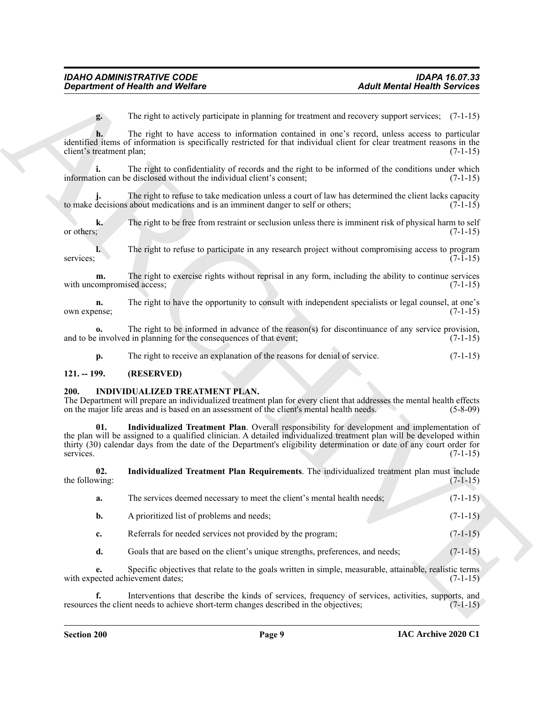**g.** The right to actively participate in planning for treatment and recovery support services; (7-1-15)

**h.** The right to have access to information contained in one's record, unless access to particular identified items of information is specifically restricted for that individual client for clear treatment reasons in the client's treatment plan; (7-1-15)

**i.** The right to confidentiality of records and the right to be informed of the conditions under which information can be disclosed without the individual client's consent; (7-1-15)

The right to refuse to take medication unless a court of law has determined the client lacks capacity to make decisions about medications and is an imminent danger to self or others;  $(7-1-15)$ 

**k.** The right to be free from restraint or seclusion unless there is imminent risk of physical harm to self or others; or others;  $(7-1-15)$ 

**l.** The right to refuse to participate in any research project without compromising access to program services;  $(7-1-15)$ 

**m.** The right to exercise rights without reprisal in any form, including the ability to continue services with uncompromised access; (7-1-15)

**n.** The right to have the opportunity to consult with independent specialists or legal counsel, at one's own expense; (7-1-15)

**o.** The right to be informed in advance of the reason(s) for discontinuance of any service provision, and to be involved in planning for the consequences of that event; (7-1-15)

<span id="page-8-2"></span>**p.** The right to receive an explanation of the reasons for denial of service. (7-1-15)

#### <span id="page-8-0"></span>**121. -- 199. (RESERVED)**

#### <span id="page-8-1"></span>**200. INDIVIDUALIZED TREATMENT PLAN.**

The Department will prepare an individualized treatment plan for every client that addresses the mental health effects on the major life areas and is based on an assessment of the client's mental health needs. (5-8-09) on the major life areas and is based on an assessment of the client's mental health needs.

**Expariment of Health wave Wolfare**<br>
The right is welcomed to be exact to information in planning lier example, and recovery supply the right state of the right of the right of the right of the right of the right of the r **01. Individualized Treatment Plan**. Overall responsibility for development and implementation of the plan will be assigned to a qualified clinician. A detailed individualized treatment plan will be developed within thirty (30) calendar days from the date of the Department's eligibility determination or date of any court order for services. (7-1-15)

**02. Individualized Treatment Plan Requirements**. The individualized treatment plan must include the following:  $(7-1-15)$ 

- <span id="page-8-3"></span>**a.** The services deemed necessary to meet the client's mental health needs;  $(7-1-15)$
- **b.** A prioritized list of problems and needs; (7-1-15)
- **c.** Referrals for needed services not provided by the program; (7-1-15)
- **d.** Goals that are based on the client's unique strengths, preferences, and needs; (7-1-15)

**e.** Specific objectives that relate to the goals written in simple, measurable, attainable, realistic terms with expected achievement dates; (7-1-15)

**f.** Interventions that describe the kinds of services, frequency of services, activities, supports, and resources the client needs to achieve short-term changes described in the objectives; (7-1-15)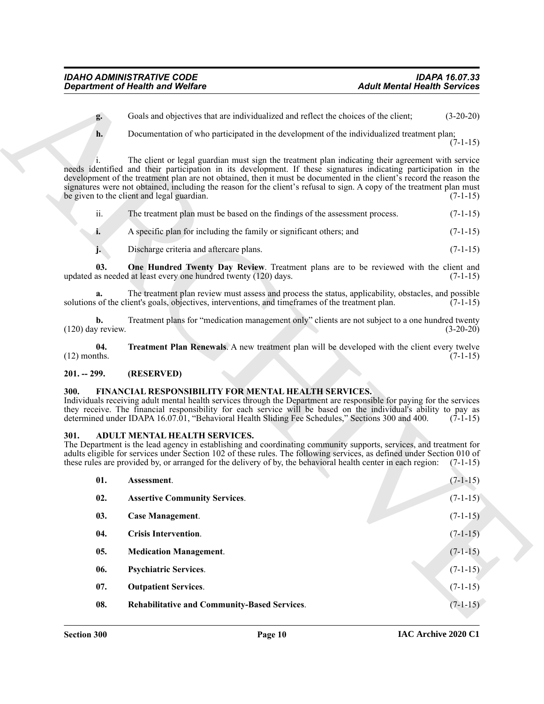- **g.** Goals and objectives that are individualized and reflect the choices of the client; (3-20-20)
	-
- **h.** Documentation of who participated in the development of the individualized treatment plan;

<span id="page-9-13"></span>

| . .<br>11. | The treatment plan must be based on the findings of the assessment process. | $(7-1-15)$ |
|------------|-----------------------------------------------------------------------------|------------|
| ı.         | A specific plan for including the family or significant others; and         | $(7-1-15)$ |
|            |                                                                             |            |

#### <span id="page-9-14"></span><span id="page-9-0"></span>**201. -- 299. (RESERVED)**

#### <span id="page-9-12"></span><span id="page-9-1"></span>**300. FINANCIAL RESPONSIBILITY FOR MENTAL HEALTH SERVICES.**

#### <span id="page-9-11"></span><span id="page-9-10"></span><span id="page-9-9"></span><span id="page-9-8"></span><span id="page-9-7"></span><span id="page-9-6"></span><span id="page-9-5"></span><span id="page-9-4"></span><span id="page-9-3"></span><span id="page-9-2"></span>**301. ADULT MENTAL HEALTH SERVICES.**

|                                       | <b>Department of Health and Welfare</b>                                                                                                                                                                                                                                                                                                                                                                                                                                                                               | <b>Adult Mental Health Services</b> |             |
|---------------------------------------|-----------------------------------------------------------------------------------------------------------------------------------------------------------------------------------------------------------------------------------------------------------------------------------------------------------------------------------------------------------------------------------------------------------------------------------------------------------------------------------------------------------------------|-------------------------------------|-------------|
| g.                                    | Goals and objectives that are individualized and reflect the choices of the client;                                                                                                                                                                                                                                                                                                                                                                                                                                   |                                     | $(3-20-20)$ |
| h.                                    | Documentation of who participated in the development of the individualized treatment plan;                                                                                                                                                                                                                                                                                                                                                                                                                            |                                     | $(7-1-15)$  |
|                                       | The client or legal guardian must sign the treatment plan indicating their agreement with service<br>needs identified and their participation in its development. If these signatures indicating participation in the<br>development of the treatment plan are not obtained, then it must be documented in the client's record the reason the<br>signatures were not obtained, including the reason for the client's refusal to sign. A copy of the treatment plan must<br>be given to the client and legal guardian. |                                     | $(7-1-15)$  |
| ii.                                   | The treatment plan must be based on the findings of the assessment process.                                                                                                                                                                                                                                                                                                                                                                                                                                           |                                     | $(7-1-15)$  |
| i.                                    | A specific plan for including the family or significant others; and                                                                                                                                                                                                                                                                                                                                                                                                                                                   |                                     | $(7-1-15)$  |
| j.                                    | Discharge criteria and aftercare plans.                                                                                                                                                                                                                                                                                                                                                                                                                                                                               |                                     | $(7-1-15)$  |
| 03.                                   | One Hundred Twenty Day Review. Treatment plans are to be reviewed with the client and<br>updated as needed at least every one hundred twenty (120) days.                                                                                                                                                                                                                                                                                                                                                              |                                     | $(7-1-15)$  |
| a.                                    | The treatment plan review must assess and process the status, applicability, obstacles, and possible<br>solutions of the client's goals, objectives, interventions, and timeframes of the treatment plan.                                                                                                                                                                                                                                                                                                             |                                     | $(7-1-15)$  |
| $\mathbf{b}$ .<br>$(120)$ day review. | Treatment plans for "medication management only" clients are not subject to a one hundred twenty                                                                                                                                                                                                                                                                                                                                                                                                                      |                                     | $(3-20-20)$ |
| 04.<br>$(12)$ months.                 | <b>Treatment Plan Renewals.</b> A new treatment plan will be developed with the client every twelve                                                                                                                                                                                                                                                                                                                                                                                                                   |                                     | $(7-1-15)$  |
| $201. - 299.$                         | (RESERVED)                                                                                                                                                                                                                                                                                                                                                                                                                                                                                                            |                                     |             |
| 300.                                  | FINANCIAL RESPONSIBILITY FOR MENTAL HEALTH SERVICES.<br>Individuals receiving adult mental health services through the Department are responsible for paying for the services<br>they receive. The financial responsibility for each service will be based on the individual's ability to pay as<br>determined under IDAPA 16.07.01, "Behavioral Health Sliding Fee Schedules," Sections 300 and 400.                                                                                                                 |                                     | $(7-1-15)$  |
| <b>301.</b>                           | ADULT MENTAL HEALTH SERVICES.<br>The Department is the lead agency in establishing and coordinating community supports, services, and treatment for<br>adults eligible for services under Section 102 of these rules. The following services, as defined under Section 010 of<br>these rules are provided by, or arranged for the delivery of by, the behavioral health center in each region: (7-1-15)                                                                                                               |                                     |             |
| 01.                                   | Assessment.                                                                                                                                                                                                                                                                                                                                                                                                                                                                                                           |                                     | $(7-1-15)$  |
| 02.                                   | <b>Assertive Community Services.</b>                                                                                                                                                                                                                                                                                                                                                                                                                                                                                  |                                     | $(7-1-15)$  |
| 03.                                   | <b>Case Management.</b>                                                                                                                                                                                                                                                                                                                                                                                                                                                                                               |                                     | $(7-1-15)$  |
| 04.                                   | <b>Crisis Intervention.</b>                                                                                                                                                                                                                                                                                                                                                                                                                                                                                           |                                     | $(7-1-15)$  |
| 05.                                   | <b>Medication Management.</b>                                                                                                                                                                                                                                                                                                                                                                                                                                                                                         |                                     | $(7-1-15)$  |
| 06.                                   | <b>Psychiatric Services.</b>                                                                                                                                                                                                                                                                                                                                                                                                                                                                                          |                                     | $(7-1-15)$  |
| 07.                                   | <b>Outpatient Services.</b>                                                                                                                                                                                                                                                                                                                                                                                                                                                                                           |                                     | $(7-1-15)$  |
|                                       |                                                                                                                                                                                                                                                                                                                                                                                                                                                                                                                       |                                     |             |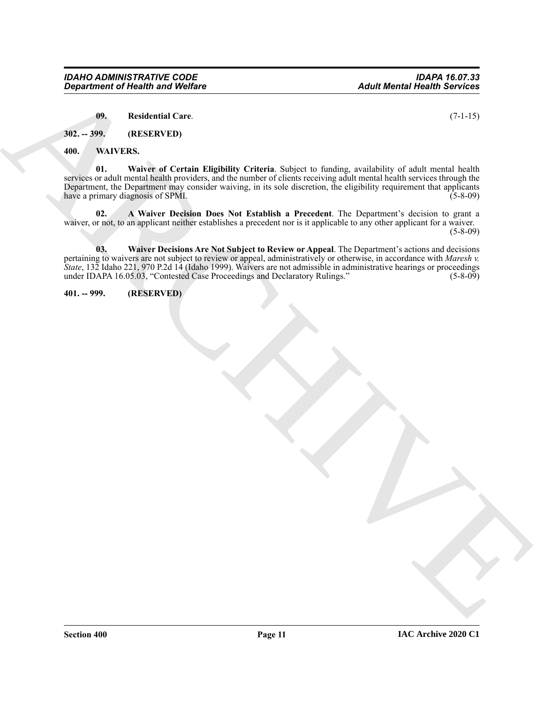<span id="page-10-7"></span><span id="page-10-4"></span><span id="page-10-3"></span>**09. Residential Care**. (7-1-15)

<span id="page-10-0"></span>**302. -- 399. (RESERVED)**

<span id="page-10-1"></span>**400. WAIVERS.**

**01. Waiver of Certain Eligibility Criteria**. Subject to funding, availability of adult mental health services or adult mental health providers, and the number of clients receiving adult mental health services through the Department, the Department may consider waiving, in its sole discretion, the eligibility requirement that applicants have a primary diagnosis of SPMI. (5-8-09)

<span id="page-10-6"></span><span id="page-10-5"></span>**02. A Waiver Decision Does Not Establish a Precedent**. The Department's decision to grant a waiver, or not, to an applicant neither establishes a precedent nor is it applicable to any other applicant for a waiver.  $(5-8-09)$ 

*Bagarimonic of Husalini was Wolfare*<br>
(*B*). Readout all Circuit Elightic Criteria dilect is finding and all the state and hands<br>  $\frac{1}{2}$  and  $\frac{1}{2}$  and  $\frac{1}{2}$  and  $\frac{1}{2}$  and  $\frac{1}{2}$  and  $\frac{1}{2}$  and  $\frac{1}{$ **03. Waiver Decisions Are Not Subject to Review or Appeal**. The Department's actions and decisions pertaining to waivers are not subject to review or appeal, administratively or otherwise, in accordance with *Maresh v. State*, 132 Idaho 221, 970 P.2d 14 (Idaho 1999). Waivers are not admissible in administrative hearings or proceedings under IDAPA 16.05.03, "Contested Case Proceedings and Declaratory Rulings." (5-8-09)

<span id="page-10-2"></span>**401. -- 999. (RESERVED)**